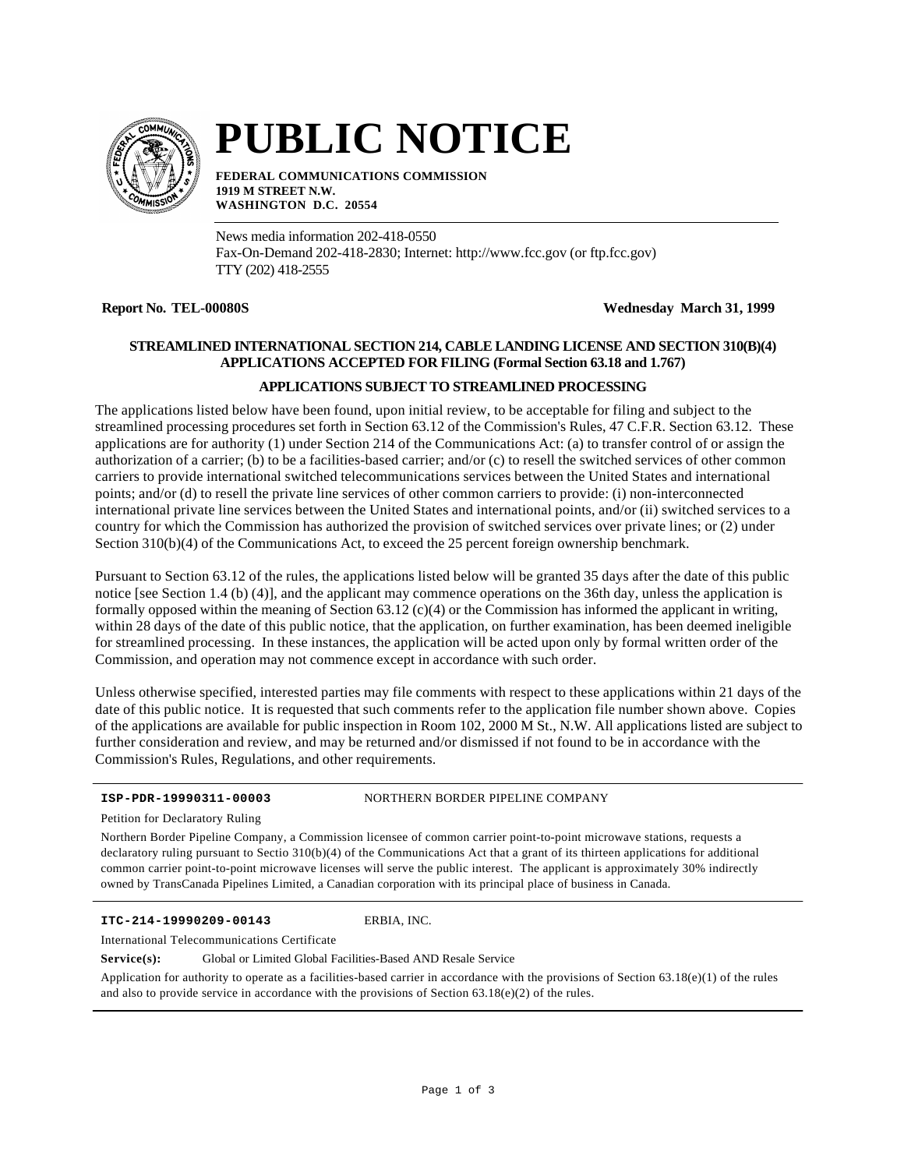

# **PUBLIC NOTICE**

**FEDERAL COMMUNICATIONS COMMISSION 1919 M STREET N.W. WASHINGTON D.C. 20554**

News media information 202-418-0550 Fax-On-Demand 202-418-2830; Internet: http://www.fcc.gov (or ftp.fcc.gov) TTY (202) 418-2555

**Report No. TEL-00080S Wednesday March 31, 1999**

# **STREAMLINED INTERNATIONAL SECTION 214, CABLE LANDING LICENSE AND SECTION 310(B)(4) APPLICATIONS ACCEPTED FOR FILING (Formal Section 63.18 and 1.767)**

# **APPLICATIONS SUBJECT TO STREAMLINED PROCESSING**

The applications listed below have been found, upon initial review, to be acceptable for filing and subject to the streamlined processing procedures set forth in Section 63.12 of the Commission's Rules, 47 C.F.R. Section 63.12. These applications are for authority (1) under Section 214 of the Communications Act: (a) to transfer control of or assign the authorization of a carrier; (b) to be a facilities-based carrier; and/or (c) to resell the switched services of other common carriers to provide international switched telecommunications services between the United States and international points; and/or (d) to resell the private line services of other common carriers to provide: (i) non-interconnected international private line services between the United States and international points, and/or (ii) switched services to a country for which the Commission has authorized the provision of switched services over private lines; or (2) under Section 310(b)(4) of the Communications Act, to exceed the 25 percent foreign ownership benchmark.

Pursuant to Section 63.12 of the rules, the applications listed below will be granted 35 days after the date of this public notice [see Section 1.4 (b) (4)], and the applicant may commence operations on the 36th day, unless the application is formally opposed within the meaning of Section  $63.12$  (c)(4) or the Commission has informed the applicant in writing, within 28 days of the date of this public notice, that the application, on further examination, has been deemed ineligible for streamlined processing. In these instances, the application will be acted upon only by formal written order of the Commission, and operation may not commence except in accordance with such order.

Unless otherwise specified, interested parties may file comments with respect to these applications within 21 days of the date of this public notice. It is requested that such comments refer to the application file number shown above. Copies of the applications are available for public inspection in Room 102, 2000 M St., N.W. All applications listed are subject to further consideration and review, and may be returned and/or dismissed if not found to be in accordance with the Commission's Rules, Regulations, and other requirements.

**ISP-PDR-19990311-00003** NORTHERN BORDER PIPELINE COMPANY

Petition for Declaratory Ruling

Northern Border Pipeline Company, a Commission licensee of common carrier point-to-point microwave stations, requests a declaratory ruling pursuant to Sectio 310(b)(4) of the Communications Act that a grant of its thirteen applications for additional common carrier point-to-point microwave licenses will serve the public interest. The applicant is approximately 30% indirectly owned by TransCanada Pipelines Limited, a Canadian corporation with its principal place of business in Canada.

# **ITC-214-19990209-00143** ERBIA, INC.

International Telecommunications Certificate

**Service(s):** Global or Limited Global Facilities-Based AND Resale Service

Application for authority to operate as a facilities-based carrier in accordance with the provisions of Section  $63.18(e)(1)$  of the rules and also to provide service in accordance with the provisions of Section  $63.18(e)(2)$  of the rules.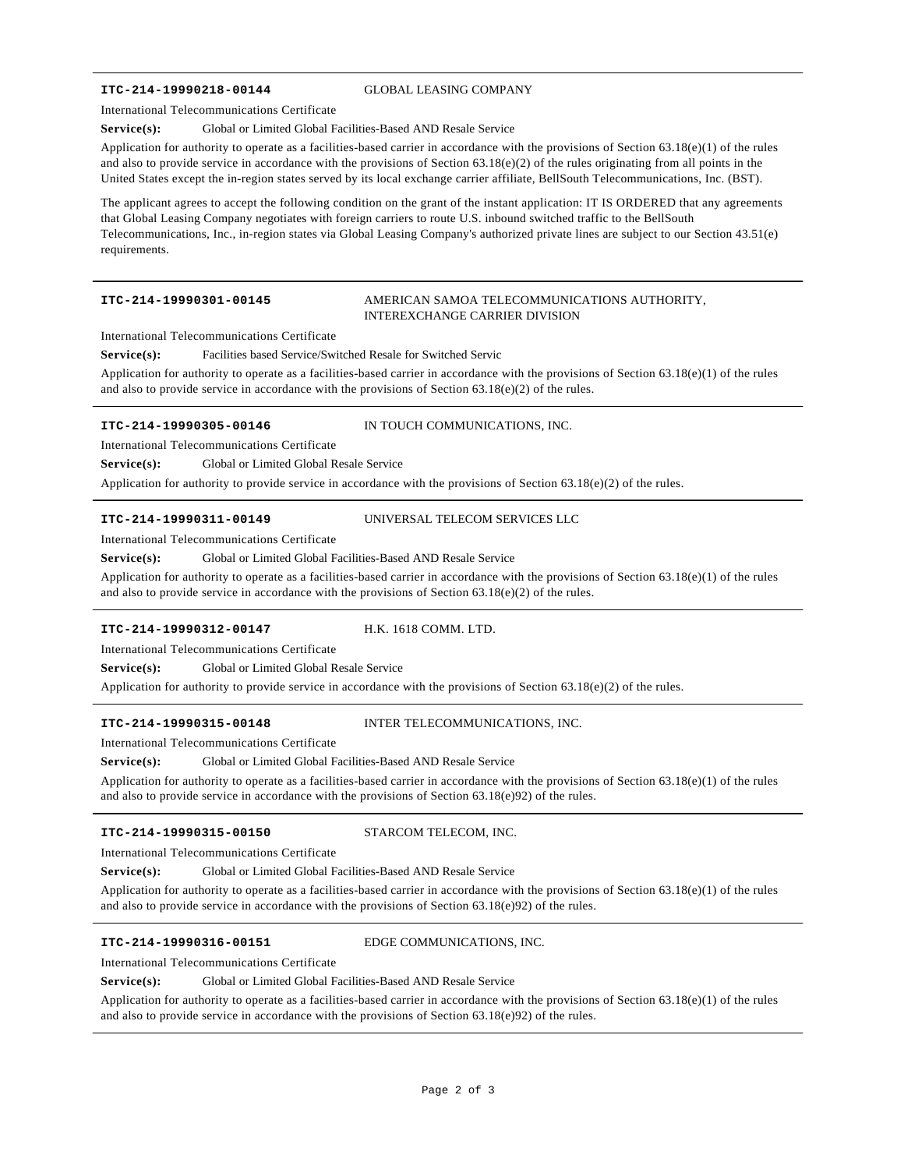# **ITC-214-19990218-00144** GLOBAL LEASING COMPANY

International Telecommunications Certificate

# Service(s): Global or Limited Global Facilities-Based AND Resale Service

Application for authority to operate as a facilities-based carrier in accordance with the provisions of Section  $63.18(e)(1)$  of the rules and also to provide service in accordance with the provisions of Section  $63.18(e)(2)$  of the rules originating from all points in the United States except the in-region states served by its local exchange carrier affiliate, BellSouth Telecommunications, Inc. (BST).

The applicant agrees to accept the following condition on the grant of the instant application: IT IS ORDERED that any agreements that Global Leasing Company negotiates with foreign carriers to route U.S. inbound switched traffic to the BellSouth Telecommunications, Inc., in-region states via Global Leasing Company's authorized private lines are subject to our Section 43.51(e) requirements.

# **ITC-214-19990301-00145** AMERICAN SAMOA TELECOMMUNICATIONS AUTHORITY, INTEREXCHANGE CARRIER DIVISION

International Telecommunications Certificate

**Service(s):** Facilities based Service/Switched Resale for Switched Servic

Application for authority to operate as a facilities-based carrier in accordance with the provisions of Section 63.18(e)(1) of the rules and also to provide service in accordance with the provisions of Section  $63.18(e)(2)$  of the rules.

**ITC-214-19990305-00146** IN TOUCH COMMUNICATIONS, INC.

International Telecommunications Certificate

**Service(s):** Global or Limited Global Resale Service

Application for authority to provide service in accordance with the provisions of Section 63.18(e)(2) of the rules.

# **ITC-214-19990311-00149** UNIVERSAL TELECOM SERVICES LLC

International Telecommunications Certificate

Service(s): Global or Limited Global Facilities-Based AND Resale Service

Application for authority to operate as a facilities-based carrier in accordance with the provisions of Section  $63.18(e)(1)$  of the rules and also to provide service in accordance with the provisions of Section  $63.18(e)(2)$  of the rules.

### **ITC-214-19990312-00147** H.K. 1618 COMM. LTD.

International Telecommunications Certificate

Service(s): Global or Limited Global Resale Service

Application for authority to provide service in accordance with the provisions of Section 63.18(e)(2) of the rules.

**ITC-214-19990315-00148** INTER TELECOMMUNICATIONS, INC.

International Telecommunications Certificate

Service(s): Global or Limited Global Facilities-Based AND Resale Service

Application for authority to operate as a facilities-based carrier in accordance with the provisions of Section 63.18(e)(1) of the rules and also to provide service in accordance with the provisions of Section 63.18(e)92) of the rules.

### **ITC-214-19990315-00150** STARCOM TELECOM, INC.

International Telecommunications Certificate

Service(s): Global or Limited Global Facilities-Based AND Resale Service

Application for authority to operate as a facilities-based carrier in accordance with the provisions of Section 63.18(e)(1) of the rules and also to provide service in accordance with the provisions of Section  $63.18(e)92$  of the rules.

**ITC-214-19990316-00151** EDGE COMMUNICATIONS, INC.

International Telecommunications Certificate

Service(s): Global or Limited Global Facilities-Based AND Resale Service

Application for authority to operate as a facilities-based carrier in accordance with the provisions of Section 63.18(e)(1) of the rules and also to provide service in accordance with the provisions of Section  $63.18(e)92$  of the rules.